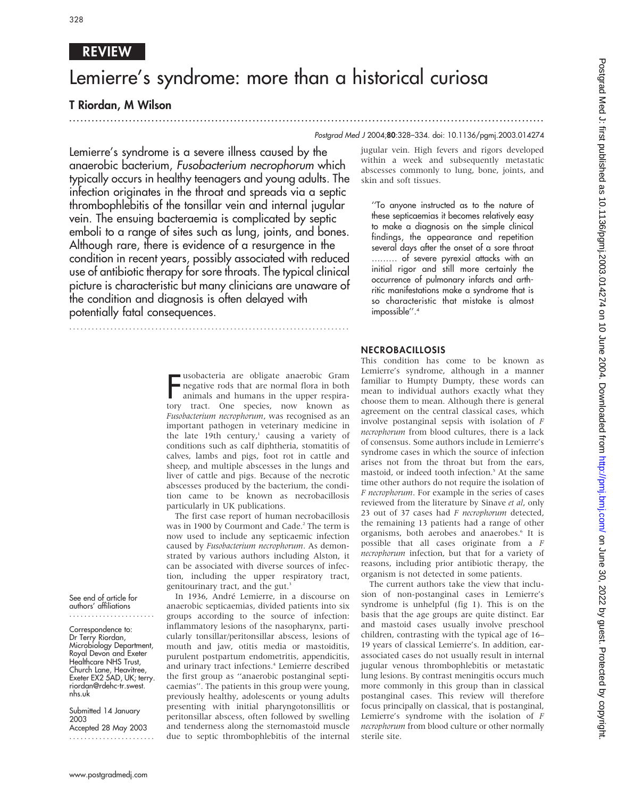# REVIEW

# Lemierre's syndrome: more than a historical curiosa

...............................................................................................................................

# T Riordan, M Wilson

# Postgrad Med J 2004;80:328–334. doi: 10.1136/pgmj.2003.014274

Lemierre's syndrome is a severe illness caused by the anaerobic bacterium, Fusobacterium necrophorum which typically occurs in healthy teenagers and young adults. The infection originates in the throat and spreads via a septic thrombophlebitis of the tonsillar vein and internal jugular vein. The ensuing bacteraemia is complicated by septic emboli to a range of sites such as lung, joints, and bones. Although rare, there is evidence of a resurgence in the condition in recent years, possibly associated with reduced use of antibiotic therapy for sore throats. The typical clinical picture is characteristic but many clinicians are unaware of the condition and diagnosis is often delayed with potentially fatal consequences.

> **F** usobacteria are obligate anaerobic Gram<br>negative rods that are normal flora in both<br>animals and humans in the upper respira-<br>tory tract. One species, now known as usobacteria are obligate anaerobic Gram negative rods that are normal flora in both animals and humans in the upper respira-Fusobacterium necrophorum, was recognised as an important pathogen in veterinary medicine in the late 19th century, $1$  causing a variety of conditions such as calf diphtheria, stomatitis of calves, lambs and pigs, foot rot in cattle and sheep, and multiple abscesses in the lungs and liver of cattle and pigs. Because of the necrotic abscesses produced by the bacterium, the condition came to be known as necrobacillosis particularly in UK publications.

...........................................................................

The first case report of human necrobacillosis was in 1900 by Courmont and Cade.<sup>2</sup> The term is now used to include any septicaemic infection caused by Fusobacterium necrophorum. As demonstrated by various authors including Alston, it can be associated with diverse sources of infection, including the upper respiratory tract, genitourinary tract, and the gut.<sup>3</sup>

In 1936, André Lemierre, in a discourse on anaerobic septicaemias, divided patients into six groups according to the source of infection: inflammatory lesions of the nasopharynx, particularly tonsillar/peritonsillar abscess, lesions of mouth and jaw, otitis media or mastoiditis, purulent postpartum endometritis, appendicitis, and urinary tract infections.<sup>4</sup> Lemierre described the first group as ''anaerobic postanginal septicaemias''. The patients in this group were young, previously healthy, adolescents or young adults presenting with initial pharyngotonsillitis or peritonsillar abscess, often followed by swelling and tenderness along the sternomastoid muscle due to septic thrombophlebitis of the internal

jugular vein. High fevers and rigors developed within a week and subsequently metastatic abscesses commonly to lung, bone, joints, and skin and soft tissues.

''To anyone instructed as to the nature of these septicaemias it becomes relatively easy to make a diagnosis on the simple clinical findings, the appearance and repetition several days after the onset of a sore throat ……… of severe pyrexial attacks with an initial rigor and still more certainly the occurrence of pulmonary infarcts and arthritic manifestations make a syndrome that is so characteristic that mistake is almost impossible''.4

# NECROBACILLOSIS

This condition has come to be known as Lemierre's syndrome, although in a manner familiar to Humpty Dumpty, these words can mean to individual authors exactly what they choose them to mean. Although there is general agreement on the central classical cases, which involve postanginal sepsis with isolation of F necrophorum from blood cultures, there is a lack of consensus. Some authors include in Lemierre's syndrome cases in which the source of infection arises not from the throat but from the ears, mastoid, or indeed tooth infection.<sup>5</sup> At the same time other authors do not require the isolation of F necrophorum. For example in the series of cases reviewed from the literature by Sinave et al, only 23 out of 37 cases had F necrophorum detected, the remaining 13 patients had a range of other organisms, both aerobes and anaerobes.<sup>6</sup> It is possible that all cases originate from a F necrophorum infection, but that for a variety of reasons, including prior antibiotic therapy, the organism is not detected in some patients.

The current authors take the view that inclusion of non-postanginal cases in Lemierre's syndrome is unhelpful (fig 1). This is on the basis that the age groups are quite distinct. Ear and mastoid cases usually involve preschool children, contrasting with the typical age of 16– 19 years of classical Lemierre's. In addition, earassociated cases do not usually result in internal jugular venous thrombophlebitis or metastatic lung lesions. By contrast meningitis occurs much more commonly in this group than in classical postanginal cases. This review will therefore focus principally on classical, that is postanginal, Lemierre's syndrome with the isolation of F necrophorum from blood culture or other normally sterile site.

See end of article for authors' affiliations .......................

Correspondence to: Dr Terry Riordan, Microbiology Department, Royal Devon and Exeter Healthcare NHS Trust, Church Lane, Heavitree, Exeter EX2 5AD, UK; terry. riordan@rdehc-tr.swest. nhs.uk

Submitted 14 January 2003 Accepted 28 May 2003 .......................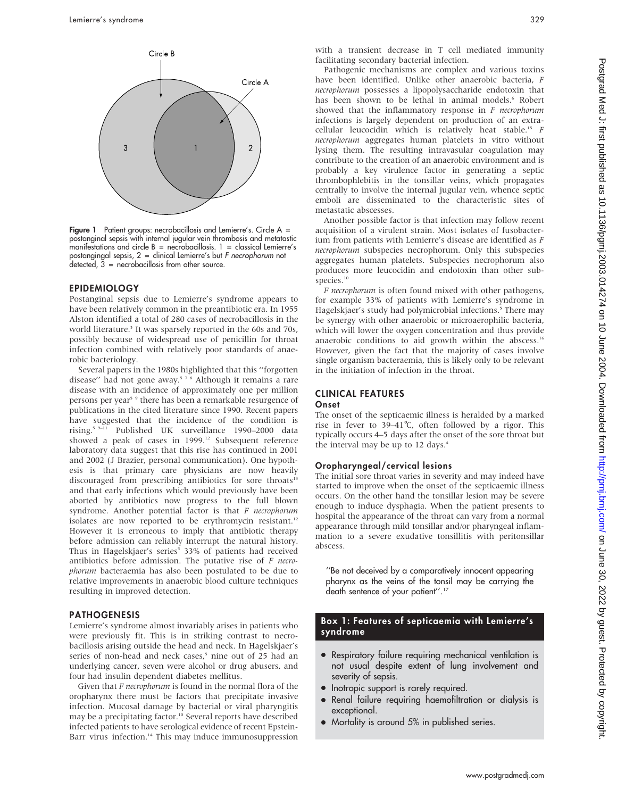

Figure 1 Patient groups: necrobacillosis and Lemierre's. Circle A = postanginal sepsis with internal jugular vein thrombosis and metatastic manifestations and circle  $B =$  necrobacillosis.  $1 =$  classical Lemierre's postangingal sepsis, 2 = clinical Lemierre's but F necrophorum not detected, 3 = necrobacillosis from other source.

# EPIDEMIOLOGY

Postanginal sepsis due to Lemierre's syndrome appears to have been relatively common in the preantibiotic era. In 1955 Alston identified a total of 280 cases of necrobacillosis in the world literature.<sup>3</sup> It was sparsely reported in the 60s and 70s, possibly because of widespread use of penicillin for throat infection combined with relatively poor standards of anaerobic bacteriology.

Several papers in the 1980s highlighted that this ''forgotten disease" had not gone away.<sup>578</sup> Although it remains a rare disease with an incidence of approximately one per million persons per year<sup>5</sup> <sup>9</sup> there has been a remarkable resurgence of publications in the cited literature since 1990. Recent papers have suggested that the incidence of the condition is rising.5 9–11 Published UK surveillance 1990–2000 data showed a peak of cases in 1999.<sup>12</sup> Subsequent reference laboratory data suggest that this rise has continued in 2001 and 2002 (J Brazier, personal communication). One hypothesis is that primary care physicians are now heavily discouraged from prescribing antibiotics for sore throats<sup>13</sup> and that early infections which would previously have been aborted by antibiotics now progress to the full blown syndrome. Another potential factor is that F necrophorum isolates are now reported to be erythromycin resistant.<sup>12</sup> However it is erroneous to imply that antibiotic therapy before admission can reliably interrupt the natural history. Thus in Hagelskjaer's series<sup>5</sup> 33% of patients had received antibiotics before admission. The putative rise of  $F$  necrophorum bacteraemia has also been postulated to be due to relative improvements in anaerobic blood culture techniques resulting in improved detection.

### PATHOGENESIS

Lemierre's syndrome almost invariably arises in patients who were previously fit. This is in striking contrast to necrobacillosis arising outside the head and neck. In Hagelskjaer's series of non-head and neck cases,<sup>5</sup> nine out of 25 had an underlying cancer, seven were alcohol or drug abusers, and four had insulin dependent diabetes mellitus.

Given that F necrophorum is found in the normal flora of the oropharynx there must be factors that precipitate invasive infection. Mucosal damage by bacterial or viral pharyngitis may be a precipitating factor.<sup>10</sup> Several reports have described infected patients to have serological evidence of recent Epstein-Barr virus infection.<sup>14</sup> This may induce immunosuppression with a transient decrease in T cell mediated immunity facilitating secondary bacterial infection.

Pathogenic mechanisms are complex and various toxins have been identified. Unlike other anaerobic bacteria, F necrophorum possesses a lipopolysaccharide endotoxin that has been shown to be lethal in animal models.<sup>6</sup> Robert showed that the inflammatory response in  $F$  necrophorum infections is largely dependent on production of an extracellular leucocidin which is relatively heat stable.<sup>15</sup> F necrophorum aggregates human platelets in vitro without lysing them. The resulting intravasular coagulation may contribute to the creation of an anaerobic environment and is probably a key virulence factor in generating a septic thrombophlebitis in the tonsillar veins, which propagates centrally to involve the internal jugular vein, whence septic emboli are disseminated to the characteristic sites of metastatic abscesses.

Another possible factor is that infection may follow recent acquisition of a virulent strain. Most isolates of fusobacterium from patients with Lemierre's disease are identified as F necrophorum subspecies necrophorum. Only this subspecies aggregates human platelets. Subspecies necrophorum also produces more leucocidin and endotoxin than other subspecies.<sup>10</sup>

F necrophorum is often found mixed with other pathogens, for example 33% of patients with Lemierre's syndrome in Hagelskjaer's study had polymicrobial infections.<sup>5</sup> There may be synergy with other anaerobic or microaerophilic bacteria, which will lower the oxygen concentration and thus provide anaerobic conditions to aid growth within the abscess.<sup>16</sup> However, given the fact that the majority of cases involve single organism bacteraemia, this is likely only to be relevant in the initiation of infection in the throat.

#### CLINICAL FEATURES **Onset**

The onset of the septicaemic illness is heralded by a marked rise in fever to  $39-41^{\circ}$ C, often followed by a rigor. This typically occurs 4–5 days after the onset of the sore throat but the interval may be up to 12 days.<sup>4</sup>

# Oropharyngeal/cervical lesions

The initial sore throat varies in severity and may indeed have started to improve when the onset of the septicaemic illness occurs. On the other hand the tonsillar lesion may be severe enough to induce dysphagia. When the patient presents to hospital the appearance of the throat can vary from a normal appearance through mild tonsillar and/or pharyngeal inflammation to a severe exudative tonsillitis with peritonsillar abscess.

''Be not deceived by a comparatively innocent appearing pharynx as the veins of the tonsil may be carrying the death sentence of your patient''.17

# Box 1: Features of septicaemia with Lemierre's syndrome

- Respiratory failure requiring mechanical ventilation is not usual despite extent of lung involvement and severity of sepsis.
- Inotropic support is rarely required.
- Renal failure requiring haemofiltration or dialysis is exceptional.
- Mortality is around 5% in published series.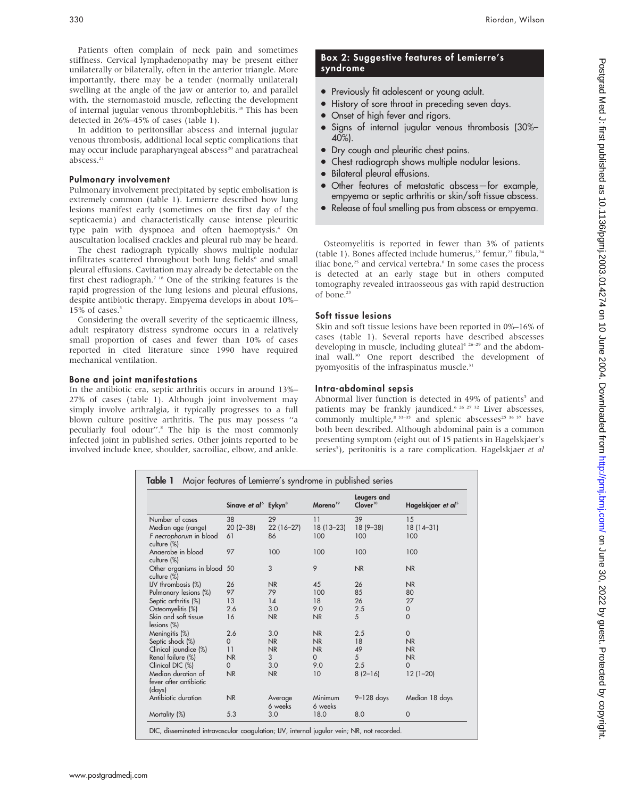Patients often complain of neck pain and sometimes stiffness. Cervical lymphadenopathy may be present either unilaterally or bilaterally, often in the anterior triangle. More importantly, there may be a tender (normally unilateral) swelling at the angle of the jaw or anterior to, and parallel with, the sternomastoid muscle, reflecting the development of internal jugular venous thrombophlebitis.18 This has been detected in 26%–45% of cases (table 1).

In addition to peritonsillar abscess and internal jugular venous thrombosis, additional local septic complications that may occur include parapharyngeal abscess<sup>20</sup> and paratracheal abscess.<sup>21</sup>

#### Pulmonary involvement

Pulmonary involvement precipitated by septic embolisation is extremely common (table 1). Lemierre described how lung lesions manifest early (sometimes on the first day of the septicaemia) and characteristically cause intense pleuritic type pain with dyspnoea and often haemoptysis.<sup>4</sup> On auscultation localised crackles and pleural rub may be heard.

The chest radiograph typically shows multiple nodular infiltrates scattered throughout both lung fields<sup>6</sup> and small pleural effusions. Cavitation may already be detectable on the first chest radiograph.7 18 One of the striking features is the rapid progression of the lung lesions and pleural effusions, despite antibiotic therapy. Empyema develops in about 10%– 15% of cases.<sup>5</sup>

Considering the overall severity of the septicaemic illness, adult respiratory distress syndrome occurs in a relatively small proportion of cases and fewer than 10% of cases reported in cited literature since 1990 have required mechanical ventilation.

### Bone and joint manifestations

In the antibiotic era, septic arthritis occurs in around 13%– 27% of cases (table 1). Although joint involvement may simply involve arthralgia, it typically progresses to a full blown culture positive arthritis. The pus may possess ''a peculiarly foul odour''.8 The hip is the most commonly infected joint in published series. Other joints reported to be involved include knee, shoulder, sacroiliac, elbow, and ankle.

# Box 2: Suggestive features of Lemierre's syndrome

- Previously fit adolescent or young adult.
- History of sore throat in preceding seven days.
- Onset of high fever and rigors.
- Signs of internal jugular venous thrombosis (30%– 40%).
- Dry cough and pleuritic chest pains.
- Chest radiograph shows multiple nodular lesions.
- Bilateral pleural effusions.
- Other features of metastatic abscess-for example, empyema or septic arthritis or skin/soft tissue abscess.
- Release of foul smelling pus from abscess or empyema.

Osteomyelitis is reported in fewer than 3% of patients (table 1). Bones affected include humerus,<sup>22</sup> femur,<sup>23</sup> fibula,<sup>24</sup> iliac bone.<sup>25</sup> and cervical vertebra.<sup>8</sup> In some cases the process is detected at an early stage but in others computed tomography revealed intraosseous gas with rapid destruction of bone.<sup>23</sup>

# Soft tissue lesions

Skin and soft tissue lesions have been reported in 0%–16% of cases (table 1). Several reports have described abscesses developing in muscle, including gluteal<sup>4 26-29</sup> and the abdominal wall.<sup>30</sup> One report described the development of pyomyositis of the infraspinatus muscle.<sup>31</sup>

### Intra-abdominal sepsis

Abnormal liver function is detected in 49% of patients<sup>5</sup> and patients may be frankly jaundiced.<sup>6 26 27 32</sup> Liver abscesses, commonly multiple, $8^{33-35}$  and splenic abscesses<sup>25 36 37</sup> have both been described. Although abdominal pain is a common presenting symptom (eight out of 15 patients in Hagelskjaer's series<sup>5</sup>), peritonitis is a rare complication. Hagelskjaer et al

|                                                           | Sinave et al <sup>6</sup> Eykyn <sup>8</sup> |                    | Moreno <sup>19</sup> | Leugers and<br>Clover <sup>10</sup> | Hagelskjaer et al <sup>5</sup> |
|-----------------------------------------------------------|----------------------------------------------|--------------------|----------------------|-------------------------------------|--------------------------------|
| Number of cases                                           | 38                                           | 29                 | 11                   | 39                                  | 15                             |
| Median age (range)                                        | $20(2-38)$                                   | $22(16-27)$        | $18(13 - 23)$        | $18(9 - 38)$                        | $18(14-31)$                    |
| F necrophorum in blood<br>culture (%)                     | 61                                           | 86                 | 100                  | 100                                 | 100                            |
| Anaerobe in blood                                         | 97                                           | 100                | 100                  | 100                                 | 100                            |
| culture (%)<br>Other organisms in blood 50<br>culture (%) |                                              | 3                  | 9                    | <b>NR</b>                           | <b>NR</b>                      |
| IJV thrombosis (%)                                        | 26                                           | N <sub>R</sub>     | 45                   | 26                                  | <b>NR</b>                      |
| Pulmonary lesions (%)                                     | 97                                           | 79                 | 100                  | 85                                  | 80                             |
| Septic arthritis (%)                                      | 13                                           | 14                 | 18                   | 26                                  | 27                             |
| Osteomyelitis (%)                                         | 2.6                                          | 3.0                | 9.0                  | 2.5                                 | $\mathbf 0$                    |
| Skin and soft tissue<br>lesions (%)                       | 16                                           | <b>NR</b>          | <b>NR</b>            | 5                                   | $\Omega$                       |
| Meningitis (%)                                            | 2.6                                          | 3.0                | <b>NR</b>            | 2.5                                 | $\mathbf{0}$                   |
| Septic shock (%)                                          | $\Omega$                                     | <b>NR</b>          | NR                   | 18                                  | NR                             |
| Clinical jaundice (%)                                     | 11                                           | <b>NR</b>          | NR                   | 49                                  | NR                             |
| Renal failure (%)                                         | <b>NR</b>                                    | 3                  | $\Omega$             | 5                                   | NR                             |
| Clinical DIC (%)                                          | $\Omega$                                     | 3.0                | 9.0                  | 2.5                                 | $\Omega$                       |
| Median duration of<br>fever after antibiotic<br>(days)    | NR                                           | N <sub>R</sub>     | 10                   | $8(2-16)$                           | $12(1-20)$                     |
| Antibiotic duration                                       | <b>NR</b>                                    | Average<br>6 weeks | Minimum<br>6 weeks   | $9 - 128$ days                      | Median 18 days                 |
| Mortality (%)                                             | 5.3                                          | 3.0                | 18.0                 | 8.0                                 | $\mathbf{0}$                   |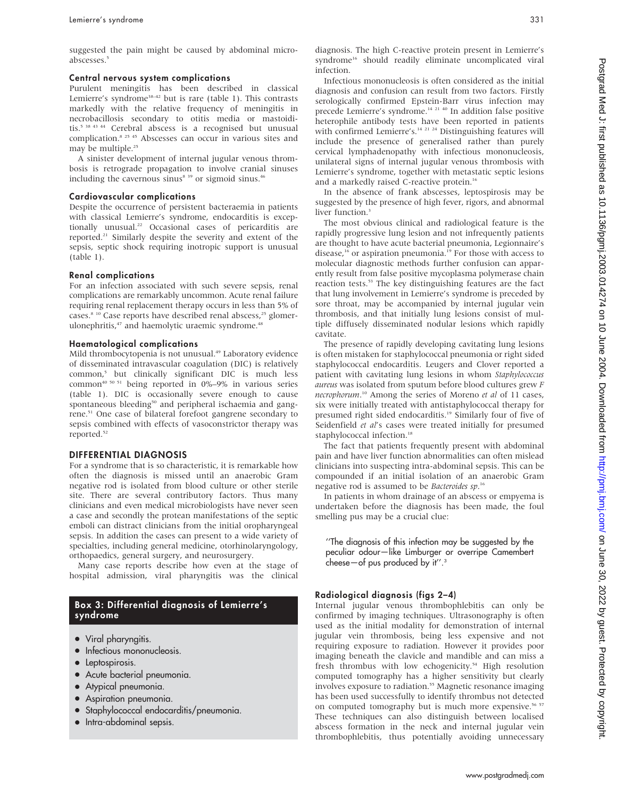suggested the pain might be caused by abdominal microabscesses.<sup>5</sup>

#### Central nervous system complications

Purulent meningitis has been described in classical Lemierre's syndrome<sup>38-42</sup> but is rare (table 1). This contrasts markedly with the relative frequency of meningitis in necrobacillosis secondary to otitis media or mastoiditis.<sup>5 38 43 44</sup> Cerebral abscess is a recognised but unusual complication.8 25 45 Abscesses can occur in various sites and may be multiple.<sup>25</sup>

A sinister development of internal jugular venous thrombosis is retrograde propagation to involve cranial sinuses including the cavernous sinus $^{8}$ <sup>39</sup> or sigmoid sinus.<sup>46</sup>

#### Cardiovascular complications

Despite the occurrence of persistent bacteraemia in patients with classical Lemierre's syndrome, endocarditis is exceptionally unusual.22 Occasional cases of pericarditis are reported.<sup>21</sup> Similarly despite the severity and extent of the sepsis, septic shock requiring inotropic support is unusual (table 1).

#### Renal complications

For an infection associated with such severe sepsis, renal complications are remarkably uncommon. Acute renal failure requiring renal replacement therapy occurs in less than 5% of cases.<sup>8 10</sup> Case reports have described renal abscess,<sup>25</sup> glomerulonephritis,<sup>47</sup> and haemolytic uraemic syndrome.<sup>48</sup>

#### Haematological complications

Mild thrombocytopenia is not unusual.<sup>49</sup> Laboratory evidence of disseminated intravascular coagulation (DIC) is relatively common,<sup>5</sup> but clinically significant DIC is much less common<sup>40 50 51</sup> being reported in 0%–9% in various series (table 1). DIC is occasionally severe enough to cause spontaneous bleeding<sup>50</sup> and peripheral ischaemia and gangrene.51 One case of bilateral forefoot gangrene secondary to sepsis combined with effects of vasoconstrictor therapy was reported.<sup>52</sup>

# DIFFERENTIAL DIAGNOSIS

For a syndrome that is so characteristic, it is remarkable how often the diagnosis is missed until an anaerobic Gram negative rod is isolated from blood culture or other sterile site. There are several contributory factors. Thus many clinicians and even medical microbiologists have never seen a case and secondly the protean manifestations of the septic emboli can distract clinicians from the initial oropharyngeal sepsis. In addition the cases can present to a wide variety of specialties, including general medicine, otorhinolaryngology, orthopaedics, general surgery, and neurosurgery.

Many case reports describe how even at the stage of hospital admission, viral pharyngitis was the clinical

# Box 3: Differential diagnosis of Lemierre's syndrome

- Viral pharyngitis.
- Infectious mononucleosis.
- $\bullet$  Leptospirosis.
- Acute bacterial pneumonia.
- Atypical pneumonia.
- Aspiration pneumonia.
- Staphylococcal endocarditis/pneumonia.
- Intra-abdominal sepsis.

diagnosis. The high C-reactive protein present in Lemierre's syndrome<sup>16</sup> should readily eliminate uncomplicated viral infection.

Infectious mononucleosis is often considered as the initial diagnosis and confusion can result from two factors. Firstly serologically confirmed Epstein-Barr virus infection may precede Lemierre's syndrome.<sup>14 21 40</sup> In addition false positive heterophile antibody tests have been reported in patients with confirmed Lemierre's.<sup>14 21</sup> <sup>24</sup> Distinguishing features will include the presence of generalised rather than purely cervical lymphadenopathy with infectious mononucleosis, unilateral signs of internal jugular venous thrombosis with Lemierre's syndrome, together with metastatic septic lesions and a markedly raised C-reactive protein.<sup>16</sup>

In the absence of frank abscesses, leptospirosis may be suggested by the presence of high fever, rigors, and abnormal liver function.<sup>3</sup>

The most obvious clinical and radiological feature is the rapidly progressive lung lesion and not infrequently patients are thought to have acute bacterial pneumonia, Legionnaire's disease,<sup>16</sup> or aspiration pneumonia.<sup>19</sup> For those with access to molecular diagnostic methods further confusion can apparently result from false positive mycoplasma polymerase chain reaction tests.<sup>53</sup> The key distinguishing features are the fact that lung involvement in Lemierre's syndrome is preceded by sore throat, may be accompanied by internal jugular vein thrombosis, and that initially lung lesions consist of multiple diffusely disseminated nodular lesions which rapidly cavitate.

The presence of rapidly developing cavitating lung lesions is often mistaken for staphylococcal pneumonia or right sided staphylococcal endocarditis. Leugers and Clover reported a patient with cavitating lung lesions in whom Staphylococcus aureus was isolated from sputum before blood cultures grew F necrophorum.<sup>10</sup> Among the series of Moreno et al of 11 cases, six were initially treated with antistaphylococcal therapy for presumed right sided endocarditis.<sup>19</sup> Similarly four of five of Seidenfield et al's cases were treated initially for presumed staphylococcal infection.<sup>18</sup>

The fact that patients frequently present with abdominal pain and have liver function abnormalities can often mislead clinicians into suspecting intra-abdominal sepsis. This can be compounded if an initial isolation of an anaerobic Gram negative rod is assumed to be Bacteroides sp.<sup>16</sup>

In patients in whom drainage of an abscess or empyema is undertaken before the diagnosis has been made, the foul smelling pus may be a crucial clue:

''The diagnosis of this infection may be suggested by the peculiar odour—like Limburger or overripe Camembert cheese—of pus produced by it''.3

#### Radiological diagnosis (figs 2–4)

Internal jugular venous thrombophlebitis can only be confirmed by imaging techniques. Ultrasonography is often used as the initial modality for demonstration of internal jugular vein thrombosis, being less expensive and not requiring exposure to radiation. However it provides poor imaging beneath the clavicle and mandible and can miss a fresh thrombus with low echogenicity.<sup>54</sup> High resolution computed tomography has a higher sensitivity but clearly involves exposure to radiation.<sup>55</sup> Magnetic resonance imaging has been used successfully to identify thrombus not detected on computed tomography but is much more expensive.<sup>56 57</sup> These techniques can also distinguish between localised abscess formation in the neck and internal jugular vein thrombophlebitis, thus potentially avoiding unnecessary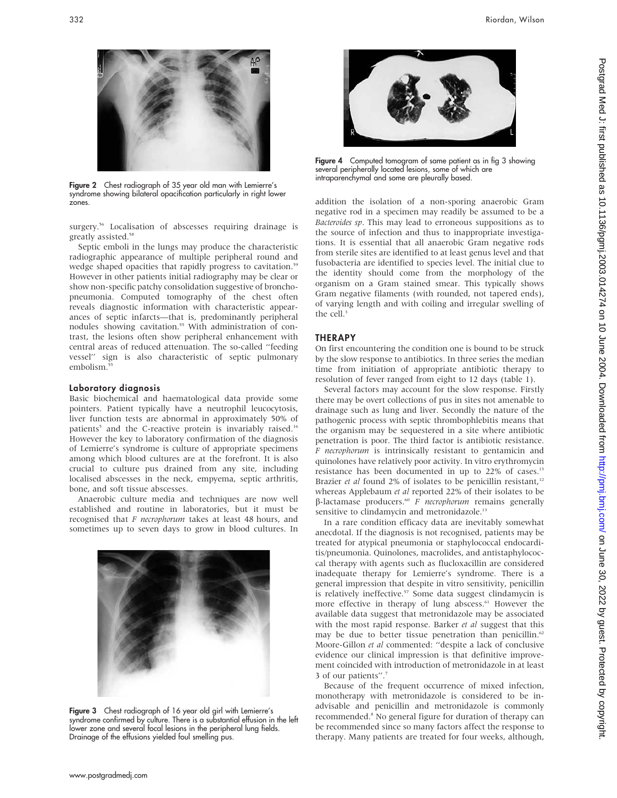



Figure 2 Chest radiograph of 35 year old man with Lemierre's syndrome showing bilateral opacification particularly in right lower zones.

surgery.<sup>56</sup> Localisation of abscesses requiring drainage is greatly assisted.<sup>58</sup>

Septic emboli in the lungs may produce the characteristic radiographic appearance of multiple peripheral round and wedge shaped opacities that rapidly progress to cavitation.<sup>59</sup> However in other patients initial radiography may be clear or show non-specific patchy consolidation suggestive of bronchopneumonia. Computed tomography of the chest often reveals diagnostic information with characteristic appearances of septic infarcts—that is, predominantly peripheral nodules showing cavitation.<sup>55</sup> With administration of contrast, the lesions often show peripheral enhancement with central areas of reduced attenuation. The so-called ''feeding vessel'' sign is also characteristic of septic pulmonary embolism.<sup>55</sup>

# Laboratory diagnosis

Basic biochemical and haematological data provide some pointers. Patient typically have a neutrophil leucocytosis, liver function tests are abnormal in approximately 50% of patients<sup>5</sup> and the C-reactive protein is invariably raised.<sup>16</sup> However the key to laboratory confirmation of the diagnosis of Lemierre's syndrome is culture of appropriate specimens among which blood cultures are at the forefront. It is also crucial to culture pus drained from any site, including localised abscesses in the neck, empyema, septic arthritis, bone, and soft tissue abscesses.

Anaerobic culture media and techniques are now well established and routine in laboratories, but it must be recognised that F necrophorum takes at least 48 hours, and sometimes up to seven days to grow in blood cultures. In



Figure 3 Chest radiograph of 16 year old girl with Lemierre's syndrome confirmed by culture. There is a substantial effusion in the left lower zone and several focal lesions in the peripheral lung fields. Drainage of the effusions yielded foul smelling pus.



Figure 4 Computed tomogram of same patient as in fig 3 showing several peripherally located lesions, some of which are intraparenchymal and some are pleurally based.

addition the isolation of a non-sporing anaerobic Gram negative rod in a specimen may readily be assumed to be a Bacteroides sp. This may lead to erroneous suppositions as to the source of infection and thus to inappropriate investigations. It is essential that all anaerobic Gram negative rods from sterile sites are identified to at least genus level and that fusobacteria are identified to species level. The initial clue to the identity should come from the morphology of the organism on a Gram stained smear. This typically shows Gram negative filaments (with rounded, not tapered ends), of varying length and with coiling and irregular swelling of the  $cell<sup>3</sup>$ 

# THERAPY

On first encountering the condition one is bound to be struck by the slow response to antibiotics. In three series the median time from initiation of appropriate antibiotic therapy to resolution of fever ranged from eight to 12 days (table 1).

Several factors may account for the slow response. Firstly there may be overt collections of pus in sites not amenable to drainage such as lung and liver. Secondly the nature of the pathogenic process with septic thrombophlebitis means that the organism may be sequestered in a site where antibiotic penetration is poor. The third factor is antibiotic resistance. F necrophorum is intrinsically resistant to gentamicin and quinolones have relatively poor activity. In vitro erythromycin resistance has been documented in up to 22% of cases.<sup>13</sup> Brazier et al found  $2\%$  of isolates to be penicillin resistant,<sup>12</sup> whereas Applebaum et al reported 22% of their isolates to be  $\beta$ -lactamase producers.<sup>60</sup> F necrophorum remains generally sensitive to clindamycin and metronidazole.<sup>13</sup>

In a rare condition efficacy data are inevitably somewhat anecdotal. If the diagnosis is not recognised, patients may be treated for atypical pneumonia or staphylococcal endocarditis/pneumonia. Quinolones, macrolides, and antistaphylococcal therapy with agents such as flucloxacillin are considered inadequate therapy for Lemierre's syndrome. There is a general impression that despite in vitro sensitivity, penicillin is relatively ineffective.<sup>57</sup> Some data suggest clindamycin is more effective in therapy of lung abscess.<sup>61</sup> However the available data suggest that metronidazole may be associated with the most rapid response. Barker et al suggest that this may be due to better tissue penetration than penicillin.<sup>62</sup> Moore-Gillon et al commented: ''despite a lack of conclusive evidence our clinical impression is that definitive improvement coincided with introduction of metronidazole in at least 3 of our patients''.7

Because of the frequent occurrence of mixed infection, monotherapy with metronidazole is considered to be inadvisable and penicillin and metronidazole is commonly recommended.8 No general figure for duration of therapy can be recommended since so many factors affect the response to therapy. Many patients are treated for four weeks, although,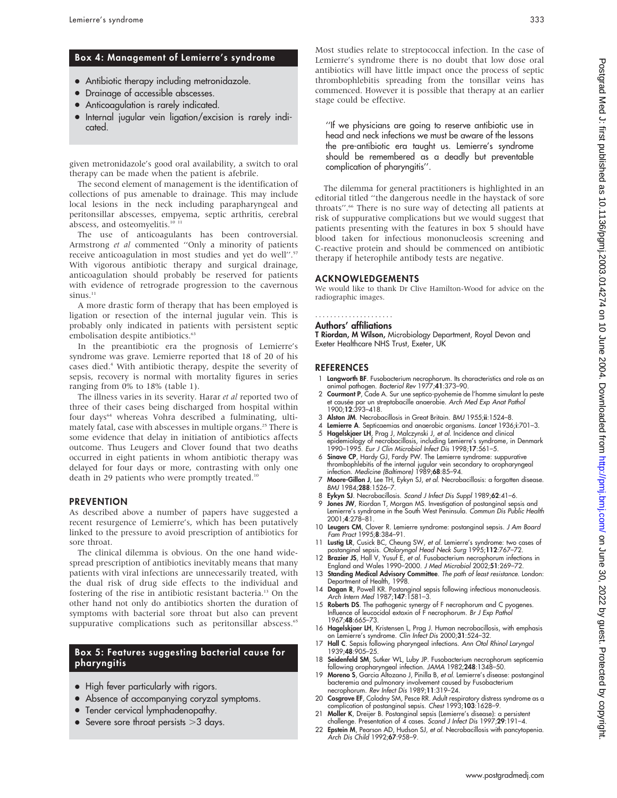#### Box 4: Management of Lemierre's syndrome

- Antibiotic therapy including metronidazole.
- Drainage of accessible abscesses.
- Anticoagulation is rarely indicated.
- Internal jugular vein ligation/excision is rarely indicated.

given metronidazole's good oral availability, a switch to oral therapy can be made when the patient is afebrile.

The second element of management is the identification of collections of pus amenable to drainage. This may include local lesions in the neck including parapharyngeal and peritonsillar abscesses, empyema, septic arthritis, cerebral abscess, and osteomyelitis.<sup>10 1</sup>

The use of anticoagulants has been controversial. Armstrong et al commented ''Only a minority of patients receive anticoagulation in most studies and yet do well".<sup>57</sup> With vigorous antibiotic therapy and surgical drainage, anticoagulation should probably be reserved for patients with evidence of retrograde progression to the cavernous sinus.<sup>11</sup>

A more drastic form of therapy that has been employed is ligation or resection of the internal jugular vein. This is probably only indicated in patients with persistent septic embolisation despite antibiotics.<sup>63</sup>

In the preantibiotic era the prognosis of Lemierre's syndrome was grave. Lemierre reported that 18 of 20 of his cases died.<sup>4</sup> With antibiotic therapy, despite the severity of sepsis, recovery is normal with mortality figures in series ranging from 0% to 18% (table 1).

The illness varies in its severity. Harar et al reported two of three of their cases being discharged from hospital within four days<sup>64</sup> whereas Vohra described a fulminating, ultimately fatal, case with abscesses in multiple organs.<sup>25</sup> There is some evidence that delay in initiation of antibiotics affects outcome. Thus Leugers and Clover found that two deaths occurred in eight patients in whom antibiotic therapy was delayed for four days or more, contrasting with only one death in 29 patients who were promptly treated.<sup>10</sup>

#### **PREVENTION**

As described above a number of papers have suggested a recent resurgence of Lemierre's, which has been putatively linked to the pressure to avoid prescription of antibiotics for sore throat.

The clinical dilemma is obvious. On the one hand widespread prescription of antibiotics inevitably means that many patients with viral infections are unnecessarily treated, with the dual risk of drug side effects to the individual and fostering of the rise in antibiotic resistant bacteria.13 On the other hand not only do antibiotics shorten the duration of symptoms with bacterial sore throat but also can prevent suppurative complications such as peritonsillar abscess.<sup>65</sup>

# Box 5: Features suggesting bacterial cause for pharyngitis

- High fever particularly with rigors.
- Absence of accompanying coryzal symptoms.
- Tender cervical lymphadenopathy.
- Severe sore throat persists  $>$ 3 days.

Most studies relate to streptococcal infection. In the case of Lemierre's syndrome there is no doubt that low dose oral antibiotics will have little impact once the process of septic thrombophlebitis spreading from the tonsillar veins has commenced. However it is possible that therapy at an earlier stage could be effective.

''If we physicians are going to reserve antibiotic use in head and neck infections we must be aware of the lessons the pre-antibiotic era taught us. Lemierre's syndrome should be remembered as a deadly but preventable complication of pharyngitis''.

The dilemma for general practitioners is highlighted in an editorial titled ''the dangerous needle in the haystack of sore throats".<sup>66</sup> There is no sure way of detecting all patients at risk of suppurative complications but we would suggest that patients presenting with the features in box 5 should have blood taken for infectious mononucleosis screening and C-reactive protein and should be commenced on antibiotic therapy if heterophile antibody tests are negative.

#### ACKNOWLEDGEMENTS

We would like to thank Dr Clive Hamilton-Wood for advice on the radiographic images.

#### Authors' affiliations .....................

T Riordan, M Wilson, Microbiology Department, Royal Devon and Exeter Healthcare NHS Trust, Exeter, UK

#### **REFERENCES**

- 1 Langworth BF. Fusobacterium necrophorum. Its characteristics and role as an animal pathogen. Bacteriol Rev 1977;41:373–90.
- 2 **Courmont P**, Cade A. Sur une septico-pyohemie de l'homme simulant la peste<br>et causée par un streptobacille anaerobie. *Arch Med Exp Anat Pathol*
- 1900;12:393–418. 3 Alston JM. Necrobacillosis in Great Britain. BMJ 1955;ii:1524–8.
- Lemierre A. Septicaemias and anaerobic organisms. Lancet 1936;i:701-3.
- 5 Hagelskjaer LH, Prag J, Malczynski J, et al. Incidence and clinical epidemiology of necrobacillosis, including Lemierre's syndrome, in Denmark
- 1990–1995. Eur J Clin Microbiol Infect Dis 1998;17:561–5. 6 Sinave CP, Hardy GJ, Fardy PW. The Lemierre syndrome: suppurative
- thrombophlebitis of the internal jugular vein secondary to oropharyngeal<br>infection. *Medicine (Baltimore)* 1989;**68**:85–94.
- 7 Moore-Gillon J, Lee TH, Eykyn SJ, et al. Necrobacillosis: a forgotten disease. BMJ 1984;288:1526–7.
- 8 Eykyn SJ. Necrobacillosis. Scand J Infect Dis Suppl 1989;62:41-6.
- 9 Jones JW, Riordan T, Morgan MS. Investigation of postanginal sepsis and Lemierre's syndrome in the South West Peninsula. Commun Dis Public Health 2001;4:278–81.
- 10 Leugers CM, Clover R. Lemierre syndrome: postanginal sepsis. J Am Board Fam Pract 1995;8:384–91.
- 11 Lustig LR, Cusick BC, Cheung SW, et al. Lemierre's syndrome: two cases of postanginal sepsis. Otolaryngol Head Neck Surg 1995;112:767–72.
- 12 Brazier JS, Hall V, Yusuf E, et al. Fusobacterium necrophorum infections in England and Wales 1990–2000. J Med Microbiol 2002;51:269–72.
- 13 Standing Medical Advisory Committee. The path of least resistance. London: Department of Health, 1998.
- 14 Dagan R, Powell KR. Postanginal sepsis following infectious mononucleosis. Arch Intern Med 1987;147:1581–3.
- 15 Roberts DS. The pathogenic synergy of F necrophorum and C pyogenes. Influence of leucocidal extoxin of F necrophorum. Br J Exp Pathol 1967;48:665–73.
- 16 Hagelskjaer LH, Kristensen L, Prag J. Human necrobacillosis, with emphasis on Lemierre's syndrome. Clin Infect Dis 2000;31:524–32.
- 17 Hall C. Sepsis following pharyngeal infections. Ann Otol Rhinol Laryngol 1939;48:905–25. 18 Seidenfeld SM, Sutker WL, Luby JP. Fusobacterium necrophorum septicemia
- following oropharyngeal infection. JAMA 1982;248:1348–50.
- 19 Moreno S, Garcia Altozano J, Pinilla B, et al. Lemierre's disease: postanginal bacteremia and pulmonary involvement caused by Fusobacterium necrophorum. Rev Infect Dis 1989;11:319–24.
- 20 Cosgrove EF, Colodny SM, Pesce RR. Adult respiratory distress syndrome as a complication of postanginal sepsis. Chest 1993;103:1628–9.
- 21 Moller K, Dreijer B. Postanginal sepsis (Lemierre's disease): a persistent challenge. Presentation of 4 cases. Scand J Infect Dis 1997;29:191–4.
- 22 Epstein M, Pearson AD, Hudson SJ, et al. Necrobacillosis with pancytopenia. Arch Dis Child 1992;67:958–9.